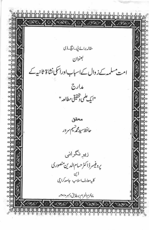A A A A مقاله برائے پی-انکچ-ڈی بعنوان مت سلمہ کے زوال کے اسباب اوراسکی نشاۃ ثانبیہ کے مدارج "ايك علمى تحقيقي مطالعه" محقق حافظ سيدمجر شيم سرور زیرِ نگرانی يروفيسر ڈاکٹر حسام الدین منصوری ڈین<br>کلیدمعارف اسلامیہ، جامعہ کراچی ماه محرم الحرام بمطابق دسمبر •ا•۲م Y X BOX YOX QOX O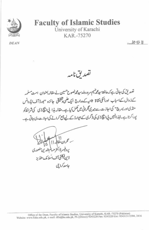

## **Faculty of Islamic Studies**

University of Karachi KAR.-75270

**DEAN** 

 $D_{model}$  $[O-1]$ -11



تصدیق کی جاتی ہے کہ حافظ سید گھریسے مرورولد سید محمد مصنین نے مقالہ بعنوان امت مسلمہ کےزوال کےاسباب اورانکی نشاۃ ثانیہ کے مدارج ایک علمی وشخفیقی جائزہ "بورڈ آف ایڈوانس سٹڈی اوریسرچ" کی اجازت سے میری نگرانی میں کھل کیا ہے۔ مقالہ ہذا پی انکچ ڈی کی شرائط کو یورا کرتا ہے۔انپذ اانہیں پی انکاؤی کی ڈگری کے ایوارڈ کے لیے جسے کرانے کی اجازت دی جاتی ہے۔

الزمامقا مرڈا کٹر حسانم الد ۋىن فىكلىقى آف اسلامك سنڈىز جامعه كراحي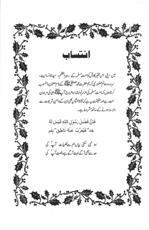

LE XXX

میں اپنی اس حقیر کاوش کوامت مسلمہ کے رہبراعظم، سیدالانسانیت، سرور دوعالم حضور نبى كريم حصرت مجم مصطفى تقطيقي كے نام معنون ومنسوب کرتاہوں کہ امت مسلمہ کی ازسرنوا بتداءدعروج آپ پالگیلی ہی کی *مر*ہون منت ہےاور حقیقت ہے کے کہ نشاۃ الثانیہ بھی ان کے دامنِ شریعت سے وابسة ہونے کےساتھ مشروط ہے۔

> فَانً فَضُلَ رَسُوُلِ اللَّهِ لَيُسَ لَهُ حَدْ'' فَيُعَرِّبُ عَنْهُ نَاطِق'' بِفَم

ہو نہی کتی بیاںہم سے فضیلت آپؐ کی حدے بھی آگے بہت آگے ہے رفعت آپ کی

BRAS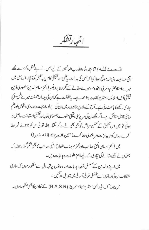اظهارتشكر

المسحسد لملسه! تمام حمدوثناءالله رب العالمين کے لیے جس نے اپنے فضل وکرم ہے بھے اتنی صلاحیت دی اورموقع عطا کیا کہ جس کی بدولت پیکمی اور محقیقی کام پایہ بھیل کو پہنچا۔اس سمی میں میرےاستادمحترم،مر بی ومخدوم،میرے مقالے کے نگران پروفیسر ڈاکٹر حسام الدین منصوری ڈین فیکلٹی آف اسلامک اسٹڈیز کا بہت بڑاحصہ ہے۔پیرحقیقت ہے کہان کی پدرانہ شفقت میر کے کمی سفرکو جاری رکھنے کا باعث بنی ہے۔آج کے مادہ پرستانہ دور میں ان کی بےلوث محبت ،ہمدردی،خلوص اورعکم دوَیْ قابل ساکش ہے۔اگر مجھےان کی سرپرتی،قیمتی مشورے،خصوصی توجہ اور تحقیقی استعانت حاصل نہ ہوتی تو میں اس تحقیق کے تخص مراحل کو بھی بھی طے نہ کر سکتا۔ اللہ تعالیٰ ان کو جزائے خیر عطا كر اوران كومز يدعزت ومربلندى عطاكر ے (آئين) (جزاك الله خيرا) میں ڈاکٹر احسان اکمتی صاحب اورمحتر م جناب شعاع النبی صاحب کا بھی شکر گذار ہوں کہ جنہوں نے مجھےمقالے کی تیاری کے لیےاہم معلومات وہدایات دیں۔ میں اپنے والدین کے مسلسل توجہ، ہدایات اور دعاؤں پر تہہ دل سے مشکو رہوں کہ ساری مشکلات ان کی دعاؤں سے بفضل تعالیٰ آسانی میں تبدیل ہوگئیں۔

میں بورڈ آف! پُروانس اسٹڈیزاینڈریسرچ (B.A.S.R) کے تعاون کا بھی مشکورہوں۔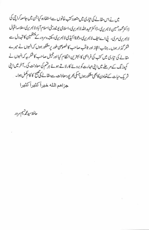میں نے اس مقالے کی تیاری میں متعدد کتب خانوں سےاستفادہ کیا جن میں جامعہ کراچی کی ۋا كىژىمحمودخىيىن لائېرىرى، ۋا كىژىمىيداللەلائېرىرى،اسلامى يونيورىڭ اسلام آباد لائېرىرى،علامەاقبال لائبریری مری، پی اےایف لائبریری، دعوۃا کیڈی لائبریری، مکتبہء سرور کے منتظمین کا تہہ دل سے شکر گذار ہوں۔ جناب اعجاز اور ثاقب صاحب کا خصوصی طور پر مشکور ہوں کہ انہوں نے میرے مقالے کی تیاری میں کتب کی فراہمی کا بہترین انتظام کیا اور جیل صاحب کا شکر یہ کہ انہوں نے کمپوز نگ کے مرطے میں اپنی مہارت کو بروۓ کارلاتے ہوئے ہر تھم کی معاونت کی۔آخر میں اپنی شریک حیات کے تعاون کا بھی مشکورہوں جسکی بھر پورمعاونت سے مقالے کی صبح کا کا مہمل ہوا۔ جزاهم الله خيراً كثيراً كثيرا

 $\mathbb{R}^n$  . In the set of the set of  $\mathbb{R}^n$ 

حافظ سيدمجر شيم سرور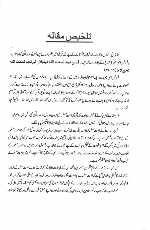## تلخيص مقاله

اللہ تعالیٰ نے اس کا ئنات کے اشرف المخلوقات کے لیے کچھاٹل توا نین مقرر فرمائے ہیں جس کوسنت الٹی کہاجا تا ہے۔ رتوا نين اللي بغير كن تبديلي كرجارى اورنا فذبيب فسلسن تتجد لمسعنت المله تبديلا ولمن تجد لمسعنت المله تحويلا ٢٥:٣٣)

قوانبین الٰہی میں ہےایک اہم قانون اقوام دملل کے عروج وز وال کا ہے۔زندہ تو موں کی خصوصیات میں ایک اہم خصوصیت پہ ہے کہ وہ اپنے ماضی اور حال پرنافتیرانظر ڈالتی رہتی ہیں۔حقیقت پہ ہے کہ دوسر وں کوتنقید کا نشانہ بنانا بہت آ سان ہوتا ہے۔اورعموماً افراداورقومیں خود تنقیدی سے احتراز کرکے دوسروں ہی کو ہدف تنقید بناتی ہیں لیکن کی قوم کی''دہنی بالیدگی'' کا نقاضا ہے کہ خود کوتنقید کا ہوف بناتے ہوئے ہہ معلوم کرنے کی کوشش کرے کہ اس شکست وریخت میں خود اسکااوراتکی قوم کا كتناهصهء

اس مقالے کوتحریرکرنے کی غرض وغایت یہی تھی کہ امت مسلمہ کے عروج وز وال کاسنت الٹی کی روشنی میں جائز ہ لیا جائے اوراسباب ز وال کوتلاش کر کے اس کے مذارک اورنشا ۃ ثانیہ کے لیے نشان راہ کاتعین کیا جاسکے۔

محسن انسانیت ٔ نے امت مسلمہ کووی ءربانی سے جوڑ کر خیرامت بنایااورشر بعت الٰبی کی وہ ثمع حتھا گئے جوامت مسلمہ کے لیے تا قیامت مشعل راہ ہے۔اس کوامام بناتے ہوۓ اسی کی روشی میں سفر طے کرنا تھا گر جب ہم نے اس کو پس پشت ڈال دیا تو تاریکی میں گھر گئے ای حقیقت کے تحقیقی جائزے کے لیے میں نے جواپواب وفصول باندھے ہیں وہ امت مسلمہ کے تعارف،عہد رسالت،خلافت راشدہ وفتوحات ہے ہوتے ہوئے ملوکیت اوراس کے منانج کا ذکرہے۔جس میں امت مسلمہ کے نشیب دفراز کی داستان کامختصر کس ہے۔

اس میں امت مسلمہ کے اہم مفکرین، مفسرین دمجتھدین کے خیالات وافکارکوذ کرکرتے ہوئے امت مسلمہ کے زوال کے گر کا ت کاتحقیقی جائز ہ لیا گیاہے کہ امت مسلمہ نے جامعیت یعنی ایمان دتقو ٹی اور وسائل وتد اہیر کے اعلیٰ امتزاج کو جب تک قائم رکھا وہ سر بلند رہی اور جب اس نے جامعیت سے کام ٹپیں لیا تو عروج کی منزلوں سے پستی کی طرف دیکھیل دی گئی۔ حقیقت پیہ ہے کہ جب عالم اسلام پرمجر مانہ خواہیدگی طاری ہوئی اور وہ اپنے اصل مشن سے غافل ہو گئے تو انجام کار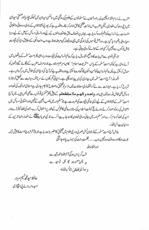مغرب نے زمام اقتد ارچیین لی۔اورانہوں نےمسلمانوں کےعلوم کی روشنی میں سائنسی میدان میں تہلکہ مجاد یااور منعتی میدان میں اپنی دھاک بٹھادی لیکین مغرب اس امانت عظمیٰ کاحق ادانہ کر کا۔واقعہ ہیہ ہے کہ یور پی نشا ۃ ثانیہ کے مادی،روحانی واخلاقی مفسدات نے انسانیت کوزخم خوردہ کر دیاہے۔ جہاں پرانصاف دحق طاقت والوں کے لیے اورانسانی مسائل کے لیے کے لیے دہرا معیار دطیر ہظہراد یا گیاہے۔دراصل قوموں کی زندگی میں یہی وہ فیصلہ کن مرحلہ ہوتا ہے جب سنت الٰہی کےمطابق دنیا کی قیادت نااہل لوگوں ہے چھین کرکسی اور کے حوالے کر دی جاتی ہے۔

تاریخی شواہد سے اس بات کا واضح اشار ہا ہے کہ عالم انسانیت کی قیادت وسر براہی پھرامت مسلمہ کے ہاتھوں میں آنے والی ہے کیونکہ امت مسلمہ کے پاس "شریعت اسلام" کا ایسا مرہم موجود ہے جو نہ صرف مغرب کے لگائے گئے زخموں کو مندل کرسکتاہے ہلکہ عالم انسانیت کوامن وسکون کا گہوارہ بناسکتاہااورواقعہ ہیہ ہے کہ آج کی دنیااسی کی تلاش میں سرگرداں ہے۔ الحمد للہ! آج امت مسلمہ میں بیداری کی لہر پیدا ہو پھی ہے۔احیائی تحریکوں نے سر چشمہء ہدایت سے تعلق کو جوڑنا شروع کر دیاہے۔عہادات ہے لےکراقتصادی معاملات تک ازسرنوتحقیق واصلاح کا کام جاری ہےاسلامی ممالک کی تعداد و دسائل بھی قابل قدرصدتک ہیں اور **واحد و المھم ماا ستطعتم** کے پیش *نظر عمر کی قو*توں ہے بھی لیس ہیں۔ پس آج امت مسلمہ کے نشاۃ ثانیہ کے لیے ایسی عالمی قیادت کی ضرورت ہے جومسلم امہ میں نصب العین کے تعین اوراختلا فی مسائل میں اعتدال کی راہ کو ہموارکر تے ہوئے حج کوملت اسلامیہ کی سالا نہ عالمی کانفرنس کے طور پراستعال کرے، جمود کی فضا کوتو ڑےاور امید کی فضا کو عام کرےاورمسلم امید میں جانی و مالی تعاون کا وہ جذبہ پیدا کرے جو نبی مہر پان پیچلنگے نے انصار ومہاجرین کے درميان پيدا کياتھا۔

بلاشيدآج امت مسلمه كےنوجوان نسل عصري وديني علوم ميں تحقيق كاعنصر بڑھ ر ہاہے جو بالآ خرعروج امت كا پيش خيمه ثابت ہوگاادروہ دفت دورنہیں جب .......ظلمت رات کی سیماب پاہوجائیگی اورانشاءالله شب گریزاں ہوگیآخرجلوۂ خورشید سے یہ چن معمورہو گا گنمہ توحید ہے

وَمَا تَوْفِيْقِيُ إِلَّا بِاللَّهِ

حافظ سيدمجمه يتم سرور امیدوار برائے کی انکاڈی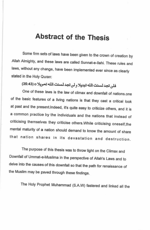## **Abstract of the Thesis**

Some firm sets of laws have been given to the crown of creation by Allah Almighty, and these laws are called Sunnat-e-Ilahi. These rules and laws, without any change, have been implemented ever since as clearly stated in the Holy Quran:

## فلن تجد لسنت الله تبديلا ولن تجد لسنت الله تحويلا 0 (43:43)

One of these laws is the law of climax and downfall of nations.one of the basic features of a living nations is that they cast a critical look at past and the present.Indeed, it's quite easy to criticize others, and it is a common practice by the individuals and the nations that instead of criticising themselves they criticise others. While criticising oneself, the mental maturity of a nation should demand to know the amount of share that nation shares in its devastation and destruction.

The purpose of this thesis was to throw light on the Climax and Downfall of Ummat-e-Muslima in the perspective of Allah's Laws and to delve into the causes of this downfall so that the path for renaissance of the Muslim may be paved through these findings.

The Holy Prophet Muhammad (S.A.W) fastered and linked all the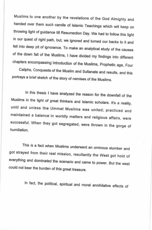Muslims to one another by the revelations of the God Almighty and handed over them such candle of Islamic Teachings which will keep on throwing light of guidance till Resurrection Day. We had to follow this light in our quest of right path, but, we ignored and turned our backs to it and fell into deep pit of ignorance. To make an analytical study of the causes of the down fall of the Muslims, I have divided my findings into different chapters encompassing Introduction of the Muslims, Prophetic age, Four

Caliphs, Conquests of the Muslim and Sultanate and results, and this portrays a brief sketch of the story of nemises of the Muslims.

In this thesis I have analyzed the reason for the downfall of the Muslims in the light of great thinkers and Islamic scholars. It's a reality, until and unless the Ummat Muslima was united; practiced and maintained a balance in worldly matters and religious affairs, were successful. When they got segregated, were thrown in the gorge of humiliation.

This is a fact when Muslims underwent an ominous slumber and got strayed from their real mission, resultantly the West got hold of everything and dominated the scenario and came to power. But the west could not bear the burden of this great treasure.

In fact, the political, spiritual and moral annihilative effects of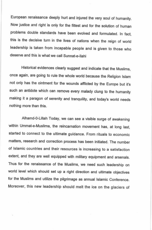European renaissance deeply hurt and injured the very soul of humanity. Now justice and right is only for the fittest and for the solution of human problems double standards have been evolved and formulated. In fact, this is the decisive turn in the lives of nations when the reign of world leadership is taken from incapable people and is given to those who deserve and this is what we call Sunnat-e-Ilahi

Historical evidences clearly suggest and indicate that the Muslims, once again, are going to rule the whole world because the Religion Islam not only has the ointment for the wounds afflicted by the Europe but it's such an antidote which can remove every malady clung to the humanity making it a paragon of serenity and tranquility, and today's world needs nothing more than this.

Alhamd-0-Lillah Today, we can see a visible surge of awakening within Ummat-e-Muslima, the reincarnation movement has, at long last, started to connect to the ultimate guidance. From rituals to economic matters, research and correction process has been initiated. The number of Islamic countries and their resources is increasing to a satisfaction extent, and they are well equipped with military equipment and arsenals. Thus for the renaissance of the Muslims, we need such leadership on world level which should set up a right direction and ultimate objectives for the Muslims and utilize the pilgrimage as annual Islamic Conference. Moreover, this new leadership should melt the ice on the glaciers of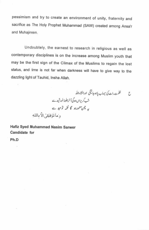pessimism and try to create an environment of unity, fraternity and sacrifice as The Holy Prophet Muhammad (SAW) created among Ansa'r and Muhajireen.

Undoubtely, the earnest to research in religious as well as contemporary disciplines is on the increase among Muslim youth that may be the first sign of the Climax of the Muslims to regain the lost status, and time is not far when darkness will have to give way to the dazzling light of Tauhid, Insha Allah.

ظلمت رات کی سیماب پاہوجا ٹیگی اورانشاءاللہ Ć شب گریزاںہوگیآ خرجلوۂ خورشیدے یہ چمن معمورہو گا گفمہ توحید ہے وَ مَا تَوْفِيْقِيُ إِلَّا بِاللَّهِ

Hafiz Syed Muhammad Nasim Sarwer Candidate for

Ph.D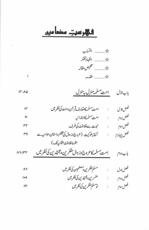فہر سرت مضامیں

į,

 $\mathfrak{f}$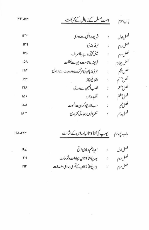$\langle \hat{N} \rangle$ 

 $\sim 100$ 

 $\sim$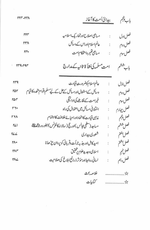بيدائ أمت كاآغاز بإب يثجم rrr-rrx میانی اصلاح اورتجار یک اسلامیه  $rrr$ فصل اول Ŷ. عالم اسلام اوراس کے دسائل **MMY** فصل دوم ţ. مسامئ تغمير واستحكام امت  $r\gamma_*$ فصل سوم  $\ddot{\cdot}$ امت مسلمہ کی نشأ ة ثانیہ کے مدارج بابدشم  $rrq$ - $rq$ عالم اسلام كوضر ورت قيادت فصلاؤل  $rrq$  $\ddot{\phantom{a}}$ وسأنل كےاستعال اورمسائل كے ليے کے ليے سلم اقوام متحدہ كا قيام ror فصل دوم خیرامت کےنقاضے کی ادائیگی فصل سوم ror  $\ddot{\phantom{a}}$ اختلافي مسائل ميںاعتدال کی راہ فصل جہارم  $M*$  $\ddot{\cdot}$ فصل پنجم مذتبى قيادت كااتحاداوراحيا يحطلافت كااهتمام **FYA** ł, مساجد (تنظمي مجالس )اورج (سالا نه كانفرنس) بطور ورشام پيچ فعل ششم  $K_{\perp}$ ř, شعوری بیداری فصل تفتم  $K_{\mathcal{L}}$ ł. امید کامل اور جذبه جرأت وقربانی کویروان چڑھانا فصل بثتتم M. ř, فصل نهم اسلامی وجد بدعلوم بر محقیق  $M^{\prime}$ ţ. لساني روابط اورمؤثر ذرائع ابلاغ كى صلاحيت فصل دہم **MA** خلاصه بحث 

كتابيات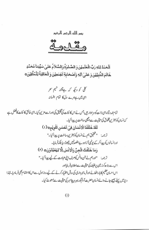بسر الله الرئس الرئير

الْحَمْدُ لِلهِ رَبِّ الْعٰلَمِيْنَ وَ الصَّلوٰةُ وَالسَّلاَمُ عَلَىٰ سَيِّدِنا مُحَمَّدٍ خَاتَمَ النَّبِيِّيُنَ وَ عَلَىٰ اللَّهِ وَأَصْحَابِهِ أَجُمَعِيْنَ وَ الْعَاقِبَةُ لِلْمُتَّقِيْنَ 0

> کلی کو دیکھ کہ ہےتشنہ کیم نحر ای میں ہے مرے دل کا تمام افسانہ

تمام تحدوثناءای ذات کوسز اواریں جس نے اس کا ئنات کی تخلیق کی اوراسے مزین کیا۔ای خالق کا ئنات کافضل ہے کەنسان ک<sup>وبہت</sup>رین مخلوق کی حیثیت سے اچھی ساخت پر پیدا کیا۔ لْقَدْ خَلَقْنَا الْأَنْسَانَ فِيَ أَحْسَنِ تَقْوِيْمِ10) ترجمه: "تحقيق ہم نے انسان کو بہترین ساخت پر پیدا کیا۔" اورانسانوں کو پیدا کرکے یونپی آزادوے مقصد پہل حجوڑ دیا بلکہ فرمایا۔ وَمَا خَلَقْتُ الْجِنَّ وَالْانُسَ الَّا لِيَعْبُدُوْنَ 0 (٢) ترجمہ: "اورہم نے جن دانس کوصرف ایلی عبادت کے لیے پیدا کیا۔" اس سے بڑھ کرز مین پرخلیفہ کی حیثیت ہےاعلان فرمایااور اس احسان عظیم کا باراٹھانے اورفر مانبر داری کی روش اختیار کرنے کے لیے روز اول سے اس کا اہتمام بھی فر مادیا۔انپذا دنیامیں پہلے بھیج جانے والےانسان حضرت آدثم کورہبر و پیغامبر کی حیثیت سے مبعوث کیا۔